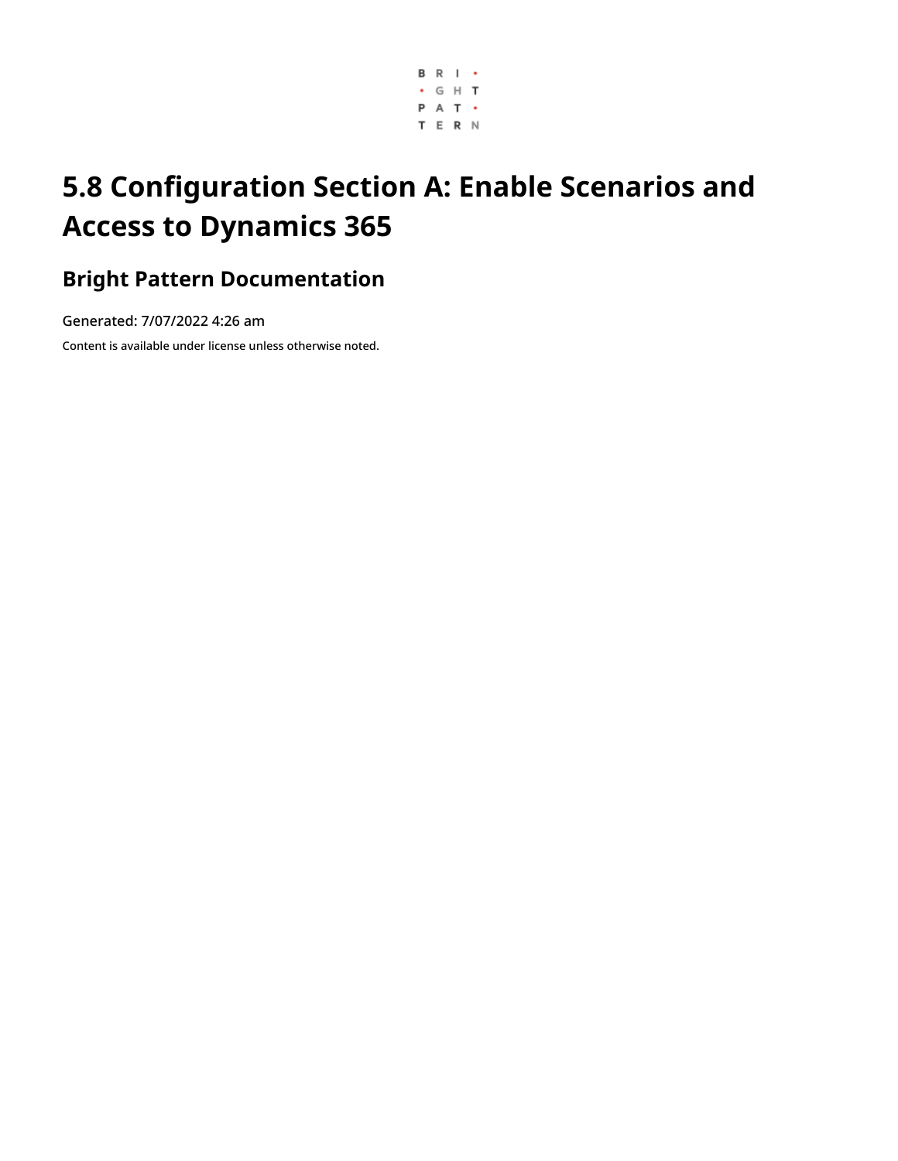

# **5.8 Configuration Section A: Enable Scenarios and Access to Dynamics 365**

## **Bright Pattern Documentation**

Generated: 7/07/2022 4:26 am

Content is available under license unless otherwise noted.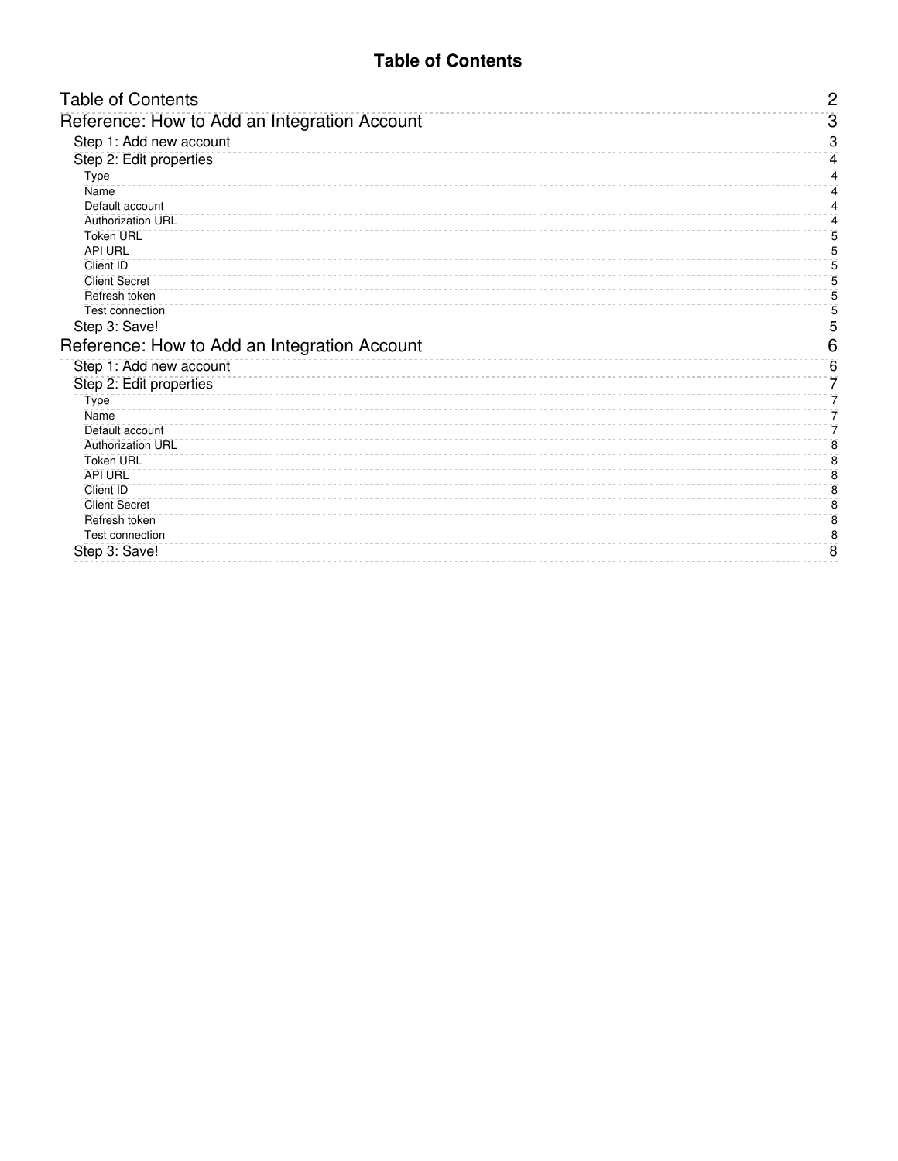### **Table of Contents**

<span id="page-1-0"></span>

| <b>Table of Contents</b>                     | $\overline{c}$  |
|----------------------------------------------|-----------------|
| Reference: How to Add an Integration Account | 3               |
| Step 1: Add new account                      | З               |
| Step 2: Edit properties                      | 4               |
| Type                                         | 4               |
| Name                                         | 4               |
| Default account                              | 4               |
| <b>Authorization URL</b>                     | 4               |
| <b>Token URL</b>                             | 5               |
| <b>API URL</b>                               | 5               |
| Client ID                                    | 5               |
| <b>Client Secret</b>                         | 5               |
| Refresh token                                | 5               |
| <b>Test connection</b>                       | 5               |
| Step 3: Save!                                | 5               |
| Reference: How to Add an Integration Account | $6\phantom{1}6$ |
| Step 1: Add new account                      | 6               |
| Step 2: Edit properties                      | 7               |
| <b>Type</b>                                  | 7               |
| Name                                         | 7               |
| Default account                              | 7               |
| <b>Authorization URL</b>                     | 8               |
| <b>Token URL</b>                             | 8               |
| <b>API URL</b>                               | 8               |
| Client ID                                    | 8               |
| <b>Client Secret</b>                         | 8               |
| Refresh token<br><b>Test connection</b>      | 8<br>8          |
|                                              | 8               |
| Step 3: Save!                                |                 |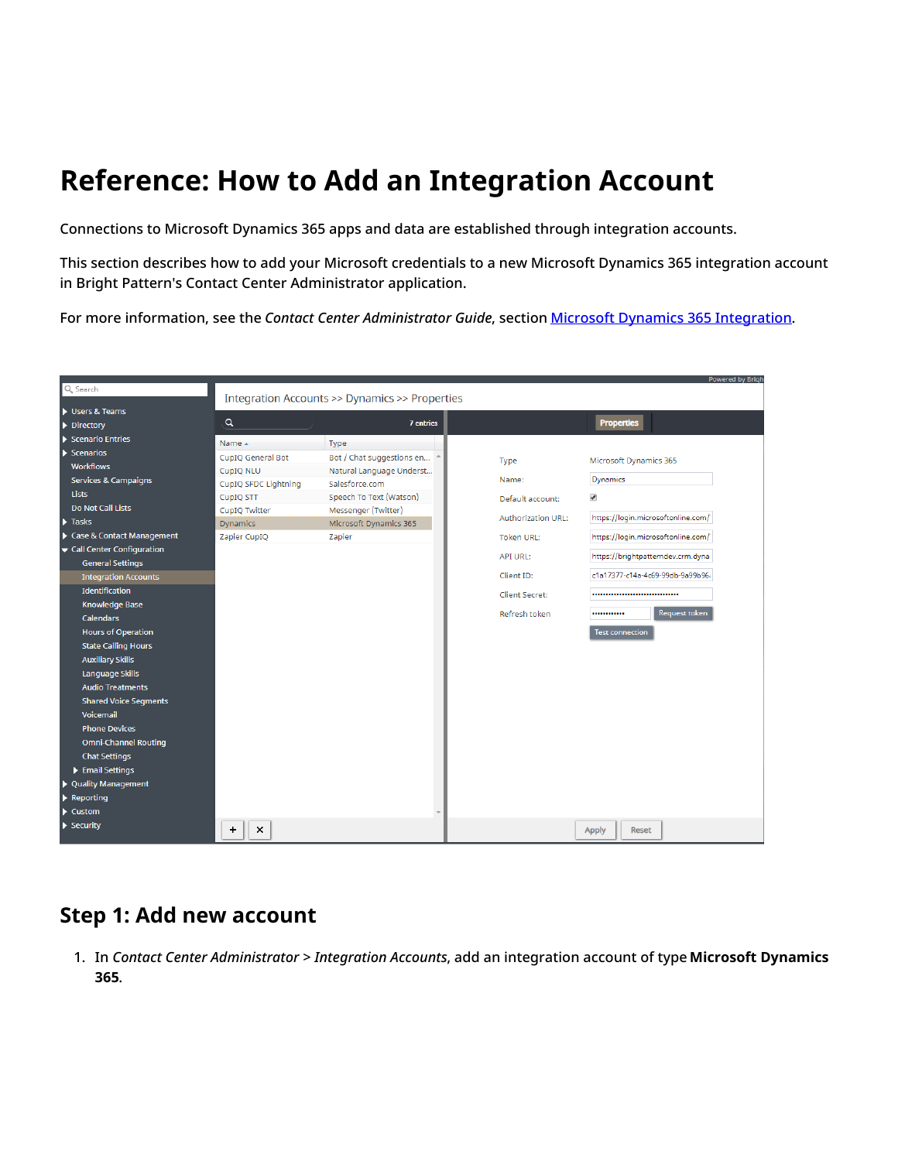# <span id="page-2-0"></span>**Reference: How to Add an Integration Account**

Connections to Microsoft Dynamics 365 apps and data are established through integration accounts.

This section describes how to add your Microsoft credentials to a new Microsoft Dynamics 365 integration account in Bright Pattern's Contact Center Administrator application.

For more information, see the *Contact Center Administrator Guide*, section Microsoft Dynamics 365 [Integration](https://help.brightpattern.com/5.8:Microsoft-dynamics-365-integration-guide/Configuration/EnableScenariosAccessDynamics365/?action=html-localimages-export#topic_contact-center-administrator-guide.2Fcallcenterconfiguration.2Fintegrationaccounts.2Fmicrosoftdynamics365).

|                                 |                      |                                                |                           | <b>Powered by Brigh</b>            |
|---------------------------------|----------------------|------------------------------------------------|---------------------------|------------------------------------|
| Q Search                        |                      | Integration Accounts >> Dynamics >> Properties |                           |                                    |
| Users & Teams                   |                      |                                                |                           |                                    |
| $\triangleright$ Directory      | $\alpha$             | <b>7</b> entries                               |                           | <b>Properties</b>                  |
| Scenario Entries                | Name 4               | Type                                           |                           |                                    |
| $\blacktriangleright$ Scenarios | CupIQ General Bot    | Bot / Chat suggestions en                      |                           |                                    |
| <b>Workflows</b>                | CupIQ NLU            | Natural Language Underst                       | Type                      | Microsoft Dynamics 365             |
| Services & Campaigns            | CupIQ SFDC Lightning | Salesforce.com                                 | Name:                     | Dynamics                           |
| <b>Lists</b>                    | CupIQ STT            | Speech To Text (Watson)                        | Default account:          | $\blacktriangledown$               |
| <b>Do Not Call Lists</b>        | CupIQ Twitter        | Messenger (Twitter)                            |                           |                                    |
| $\blacktriangleright$ Tasks     | <b>Dynamics</b>      | Microsoft Dynamics 365                         | <b>Authorization URL:</b> | https://login.microsoftonline.com/ |
| Case & Contact Management       | Zapier CupIQ         | Zapier                                         | <b>Token URL:</b>         | https://login.microsoftonline.com/ |
| Call Center Configuration       |                      |                                                | <b>API URL:</b>           | https://brightpatterndev.crm.dyna  |
| <b>General Settings</b>         |                      |                                                |                           |                                    |
| <b>Integration Accounts</b>     |                      |                                                | Client ID:                | c1a17377-c14a-4c69-99db-9a99b96;   |
| Identification                  |                      |                                                | <b>Client Secret:</b>     |                                    |
| <b>Knowledge Base</b>           |                      |                                                |                           |                                    |
| <b>Calendars</b>                |                      |                                                | Refresh token             | Request token<br>                  |
| <b>Hours of Operation</b>       |                      |                                                |                           | <b>Test connection</b>             |
| <b>State Calling Hours</b>      |                      |                                                |                           |                                    |
| <b>Auxiliary Skills</b>         |                      |                                                |                           |                                    |
| Language Skills                 |                      |                                                |                           |                                    |
| <b>Audio Treatments</b>         |                      |                                                |                           |                                    |
| <b>Shared Voice Segments</b>    |                      |                                                |                           |                                    |
| Voicemail                       |                      |                                                |                           |                                    |
| <b>Phone Devices</b>            |                      |                                                |                           |                                    |
| <b>Omni-Channel Routing</b>     |                      |                                                |                           |                                    |
| <b>Chat Settings</b>            |                      |                                                |                           |                                    |
| Email Settings                  |                      |                                                |                           |                                    |
| ▶ Quality Management            |                      |                                                |                           |                                    |
| $\blacktriangleright$ Reporting |                      |                                                |                           |                                    |
| $\blacktriangleright$ Custom    |                      |                                                |                           |                                    |
| $\blacktriangleright$ Security  | $\times$<br>+        |                                                |                           | <b>Apply</b><br>Reset              |

### <span id="page-2-1"></span>**Step 1: Add new account**

1. In *Contact Center Administrator > Integration Accounts*, add an integration account of type **Microsoft Dynamics 365**.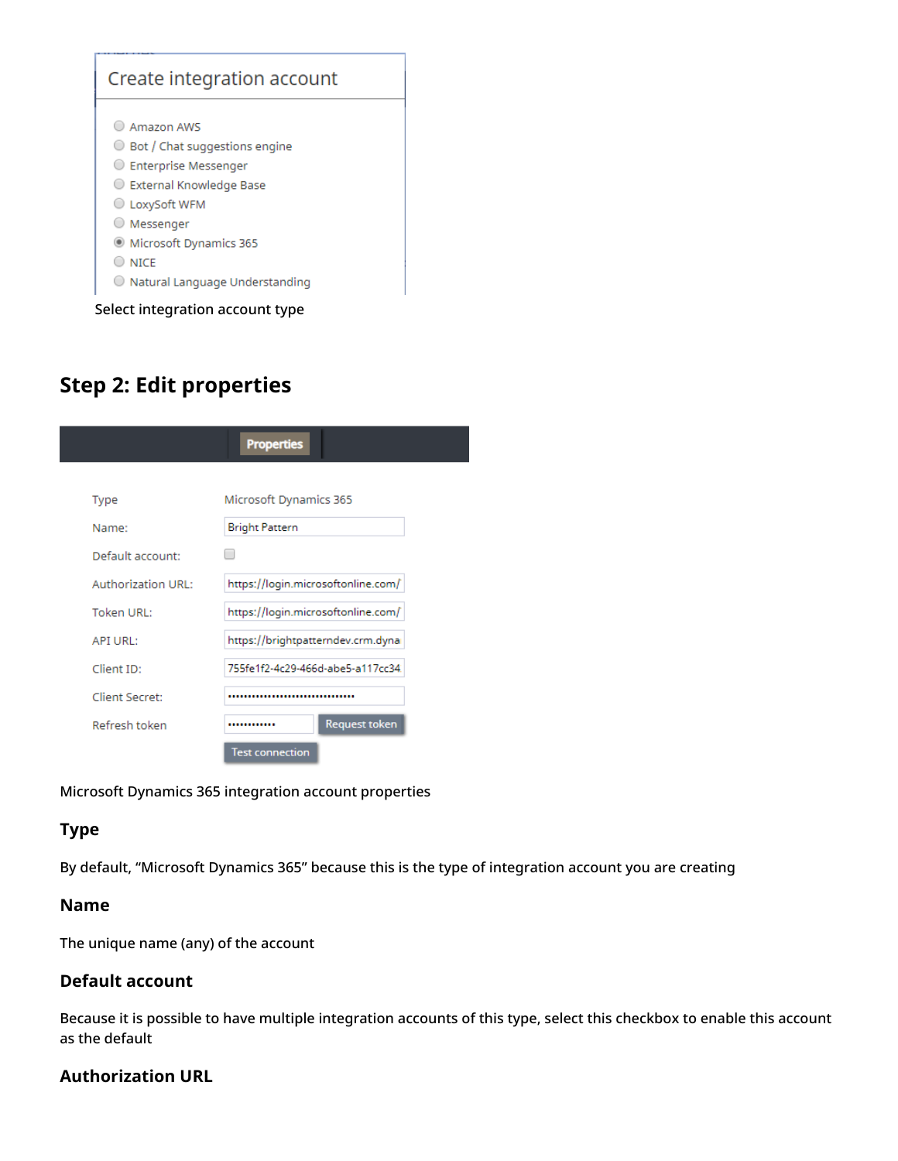

## <span id="page-3-0"></span>**Step 2: Edit properties**

|                           | <b>Properties</b>                  |
|---------------------------|------------------------------------|
|                           |                                    |
| <b>Type</b>               | Microsoft Dynamics 365             |
| Name:                     | <b>Bright Pattern</b>              |
| Default account:          |                                    |
| <b>Authorization URL:</b> | https://login.microsoftonline.com/ |
| Token URL:                | https://login.microsoftonline.com/ |
| API URL:                  | https://brightpatterndev.crm.dyna  |
| Client ID:                | 755fe1f2-4c29-466d-abe5-a117cc34.  |
| Client Secret:            |                                    |
| Refresh token             | Request token<br>                  |
|                           | <b>Test connection</b>             |

Microsoft Dynamics 365 integration account properties

### <span id="page-3-1"></span>**Type**

By default, "Microsoft Dynamics 365" because this is the type of integration account you are creating

### <span id="page-3-2"></span>**Name**

The unique name (any) of the account

### <span id="page-3-3"></span>**Default account**

Because it is possible to have multiple integration accounts of this type, select this checkbox to enable this account as the default

### <span id="page-3-4"></span>**Authorization URL**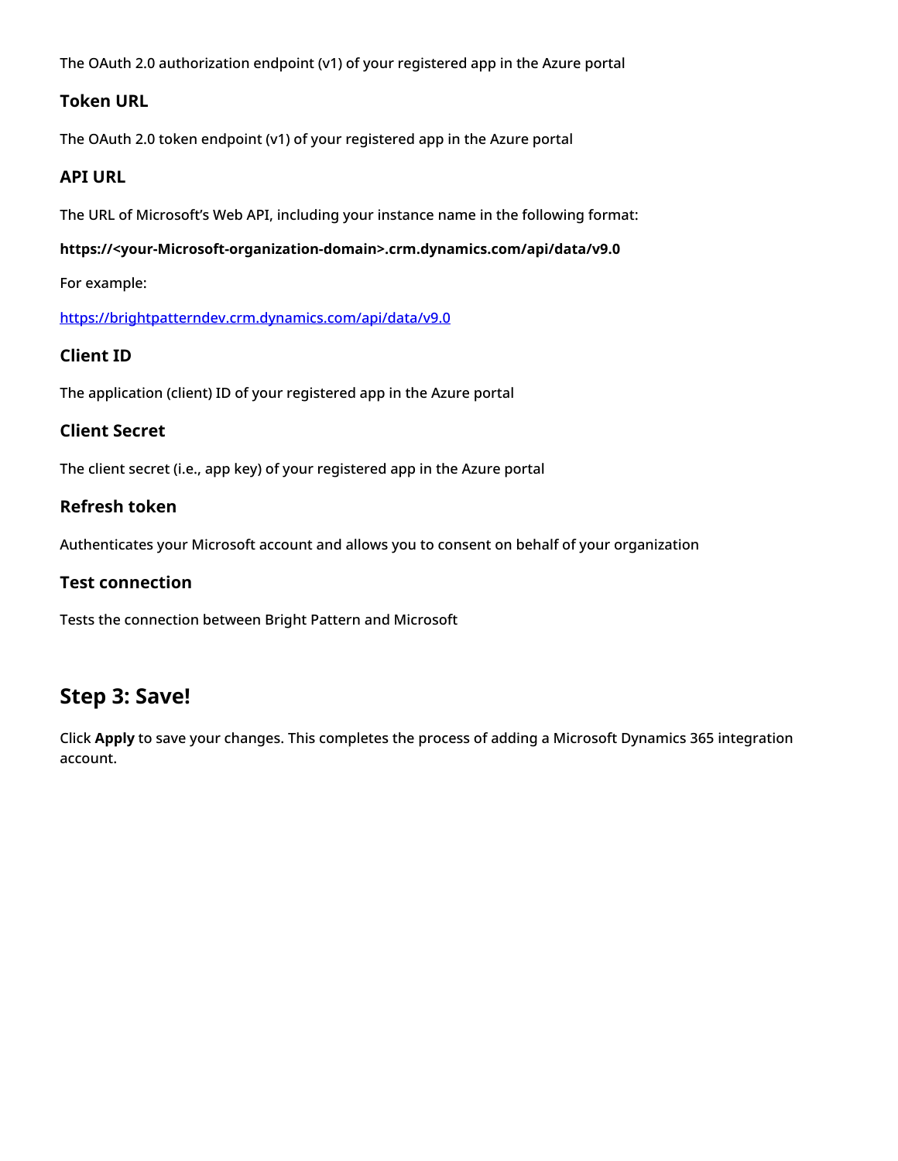The OAuth 2.0 authorization endpoint (v1) of your registered app in the Azure portal

### <span id="page-4-0"></span>**Token URL**

The OAuth 2.0 token endpoint (v1) of your registered app in the Azure portal

### <span id="page-4-1"></span>**API URL**

The URL of Microsoft's Web API, including your instance name in the following format:

#### **https://<your-Microsoft-organization-domain>.crm.dynamics.com/api/data/v9.0**

For example:

<https://brightpatterndev.crm.dynamics.com/api/data/v9.0>

### <span id="page-4-2"></span>**Client ID**

The application (client) ID of your registered app in the Azure portal

#### <span id="page-4-3"></span>**Client Secret**

The client secret (i.e., app key) of your registered app in the Azure portal

### <span id="page-4-4"></span>**Refresh token**

Authenticates your Microsoft account and allows you to consent on behalf of your organization

#### <span id="page-4-5"></span>**Test connection**

Tests the connection between Bright Pattern and Microsoft

### <span id="page-4-6"></span>**Step 3: Save!**

Click **Apply** to save your changes. This completes the process of adding a Microsoft Dynamics 365 integration account.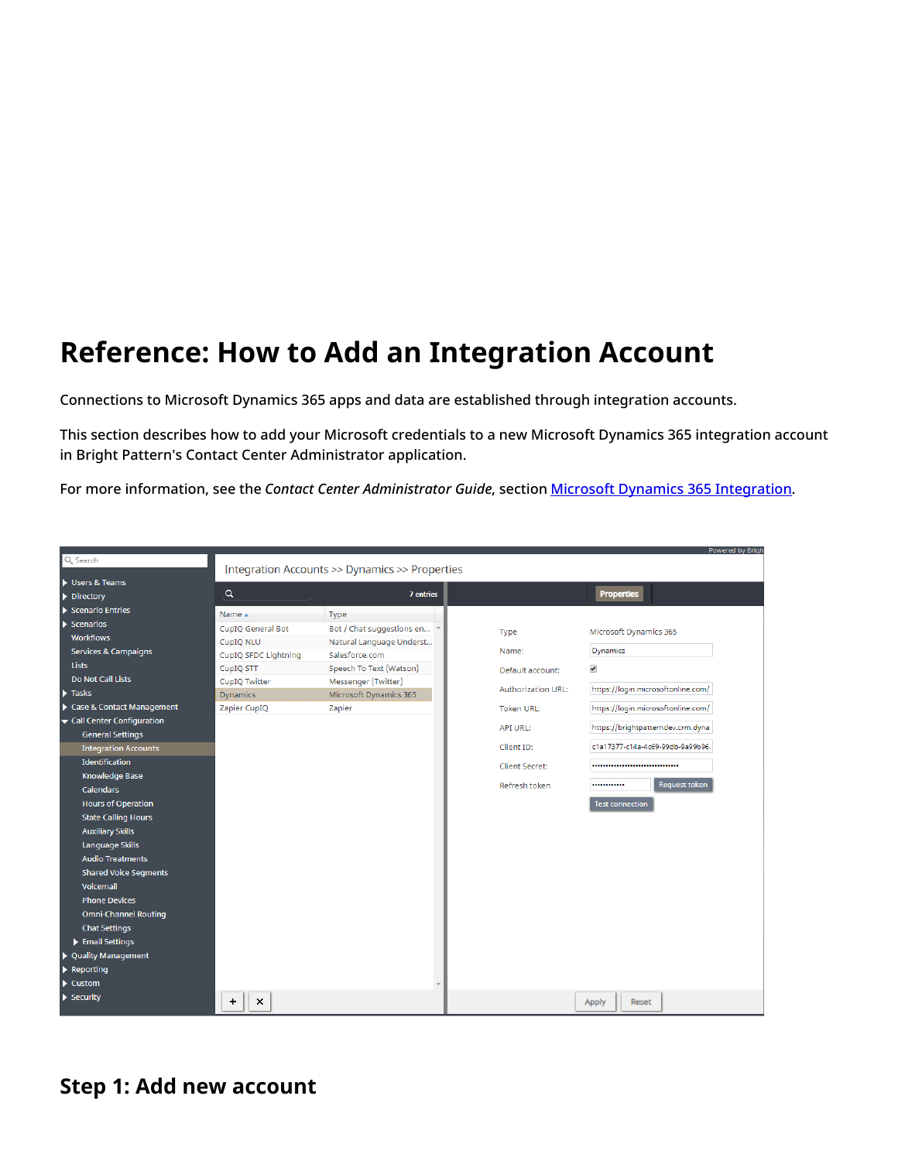# <span id="page-5-0"></span>**Reference: How to Add an Integration Account**

Connections to Microsoft Dynamics 365 apps and data are established through integration accounts.

This section describes how to add your Microsoft credentials to a new Microsoft Dynamics 365 integration account in Bright Pattern's Contact Center Administrator application.

For more information, see the *Contact Center Administrator Guide*, section Microsoft Dynamics 365 [Integration](https://help.brightpattern.com/5.8:Microsoft-dynamics-365-integration-guide/Configuration/EnableScenariosAccessDynamics365/?action=html-localimages-export#topic_contact-center-administrator-guide.2Fcallcenterconfiguration.2Fintegrationaccounts.2Fmicrosoftdynamics365).

|                                        |                                                |                           |                  |                           | <b>Powered by Brigh</b>            |
|----------------------------------------|------------------------------------------------|---------------------------|------------------|---------------------------|------------------------------------|
| Q Search                               | Integration Accounts >> Dynamics >> Properties |                           |                  |                           |                                    |
| Users & Teams                          |                                                |                           |                  |                           |                                    |
| $\triangleright$ Directory             | $\alpha$                                       |                           | <b>7</b> entries |                           | <b>Properties</b>                  |
| $\blacktriangleright$ Scenario Entries | Name 4                                         | Type                      |                  |                           |                                    |
| $\blacktriangleright$ Scenarios        | <b>CupIO General Bot</b>                       | Bot / Chat suggestions en |                  |                           |                                    |
| <b>Workflows</b>                       | CupIQ NLU                                      | Natural Language Underst  |                  | Type                      | Microsoft Dynamics 365             |
| <b>Services &amp; Campaigns</b>        | CupIQ SFDC Lightning                           | Salesforce.com            |                  | Name:                     | Dynamics                           |
| <b>Lists</b>                           | CupIQ STT                                      | Speech To Text (Watson)   |                  | Default account:          | $\blacktriangledown$               |
| Do Not Call Lists                      | CupIQ Twitter                                  | Messenger (Twitter)       |                  |                           |                                    |
| $\blacktriangleright$ Tasks            | <b>Dynamics</b>                                | Microsoft Dynamics 365    |                  | <b>Authorization URL:</b> | https://login.microsoftonline.com/ |
| Case & Contact Management              | Zapier CupIQ                                   | Zapier                    |                  | <b>Token URL:</b>         | https://login.microsoftonline.com/ |
| Call Center Configuration              |                                                |                           |                  | API URL:                  | https://brightpatterndev.crm.dyna  |
| <b>General Settings</b>                |                                                |                           |                  |                           |                                    |
| <b>Integration Accounts</b>            |                                                |                           |                  | Client ID:                | c1a17377-c14a-4c69-99db-9a99b96i   |
| Identification                         |                                                |                           |                  | Client Secret:            |                                    |
| <b>Knowledge Base</b>                  |                                                |                           |                  |                           | <b>Request token</b><br>           |
| Calendars                              |                                                |                           |                  | Refresh token             |                                    |
| <b>Hours of Operation</b>              |                                                |                           |                  |                           | <b>Test connection</b>             |
| <b>State Calling Hours</b>             |                                                |                           |                  |                           |                                    |
| <b>Auxiliary Skills</b>                |                                                |                           |                  |                           |                                    |
| Language Skills                        |                                                |                           |                  |                           |                                    |
| <b>Audio Treatments</b>                |                                                |                           |                  |                           |                                    |
| <b>Shared Voice Segments</b>           |                                                |                           |                  |                           |                                    |
| Voicemail                              |                                                |                           |                  |                           |                                    |
| <b>Phone Devices</b>                   |                                                |                           |                  |                           |                                    |
| <b>Omni-Channel Routing</b>            |                                                |                           |                  |                           |                                    |
| <b>Chat Settings</b>                   |                                                |                           |                  |                           |                                    |
| Email Settings                         |                                                |                           |                  |                           |                                    |
| ▶ Quality Management                   |                                                |                           |                  |                           |                                    |
| $\blacktriangleright$ Reporting        |                                                |                           |                  |                           |                                    |
| $\blacktriangleright$ Custom           |                                                |                           |                  |                           |                                    |
| $\blacktriangleright$ Security         | $\times$<br>+                                  |                           |                  |                           | Reset<br><b>Apply</b>              |

### <span id="page-5-1"></span>**Step 1: Add new account**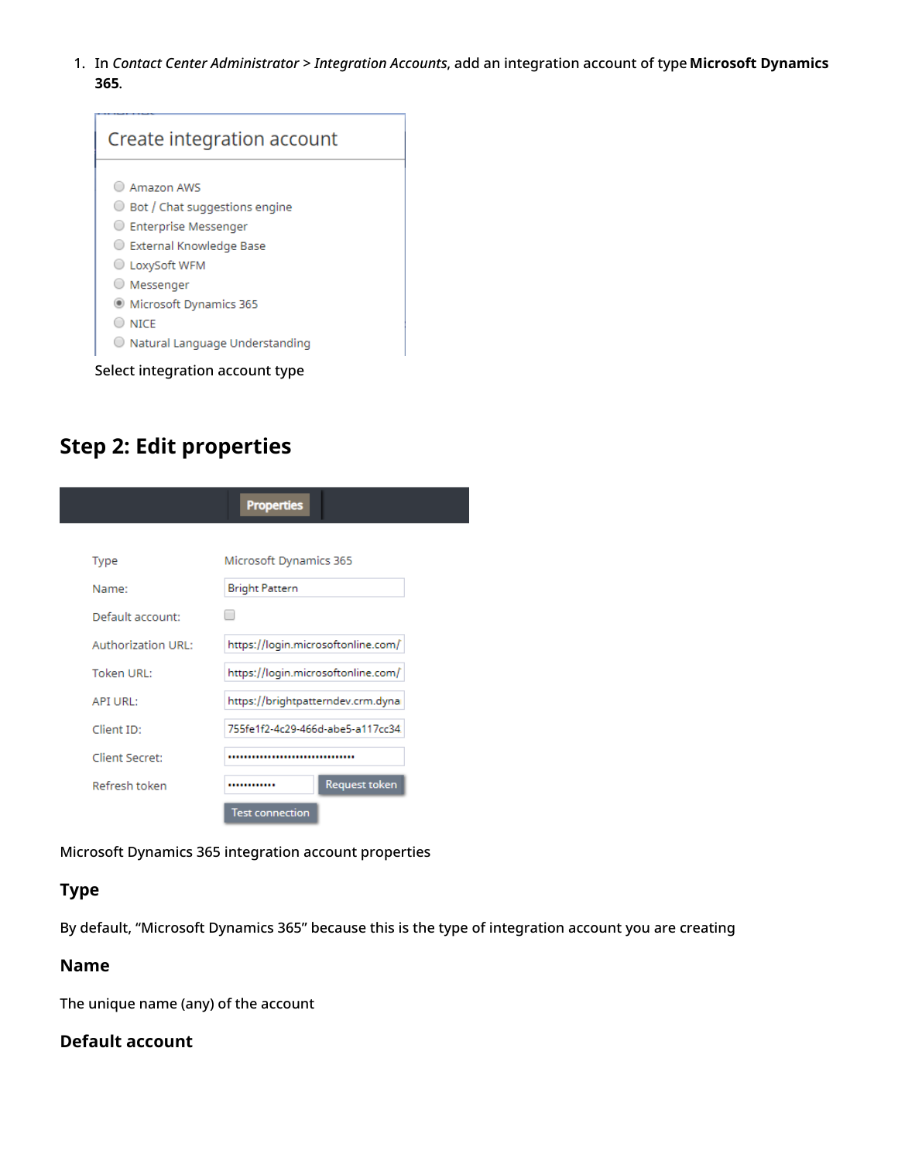1. In *Contact Center Administrator > Integration Accounts*, add an integration account of type **Microsoft Dynamics 365**.

| Create integration account                                                                                                                                                                                                   |
|------------------------------------------------------------------------------------------------------------------------------------------------------------------------------------------------------------------------------|
| Amazon AWS<br>Bot / Chat suggestions engine<br>Enterprise Messenger<br>C External Knowledge Base<br>○ LoxySoft WFM<br>O Messenger<br>C Microsoft Dynamics 365<br>$\supset$ nice<br>$\bigcirc$ Natural Language Understanding |
| Select integration account type                                                                                                                                                                                              |

## <span id="page-6-0"></span>**Step 2: Edit properties**

|                    | <b>Properties</b>                  |
|--------------------|------------------------------------|
|                    |                                    |
| Type               | Microsoft Dynamics 365             |
| Name:              | <b>Bright Pattern</b>              |
| Default account:   |                                    |
| Authorization URL: | https://login.microsoftonline.com/ |
| Token URL:         | https://login.microsoftonline.com/ |
| <b>API URL:</b>    | https://brightpatterndev.crm.dyna  |
| Client ID:         | 755fe1f2-4c29-466d-abe5-a117cc34   |
| Client Secret:     |                                    |
| Refresh token      | <b>Request token</b>               |
|                    | <b>Test connection</b>             |

Microsoft Dynamics 365 integration account properties

### <span id="page-6-1"></span>**Type**

By default, "Microsoft Dynamics 365" because this is the type of integration account you are creating

### <span id="page-6-2"></span>**Name**

The unique name (any) of the account

### <span id="page-6-3"></span>**Default account**